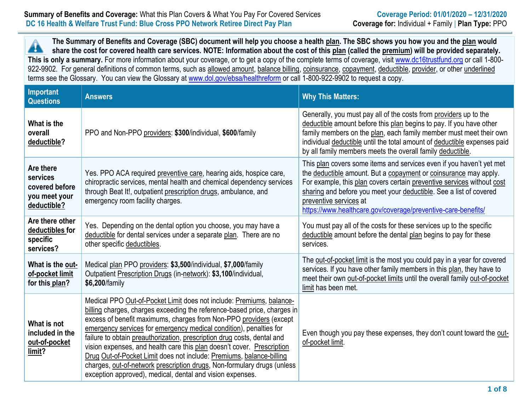### **Summary of Benefits and Coverage:** What this Plan Covers & What You Pay For Covered Services **Coverage Period: 01/01/2020 – 12/31/2020 DC 16 Health & Welfare Trust Fund: Blue Cross PPO Network Retiree Direct Pay Plan Coverage for:** Individual + Family | **Plan Type:** PPO

**The Summary of Benefits and Coverage (SBC) document will help you choose a health plan. The SBC shows you how you and the plan would** Â **share the cost for covered health care services. NOTE: Information about the cost of this plan (called the premium) will be provided separately.** This is only a summary. For more information about your coverage, or to get a copy of the complete terms of coverage, visit [www.dc16trustfund.org](http://www.dc16trustfund.org/) or call 1-800-922-9902. For general definitions of common terms, such as allowed amount, balance billing, coinsurance, copayment, deductible, provider, or other underlined terms see the Glossary. You can view the Glossary at [www.dol.gov/ebsa/healthreform](file:///C:/NRPortbl/EAST/JLH/www.dol.gov/ebsa/healthreform) or call 1-800-922-9902 to request a copy.

| <b>Important</b><br><b>Questions</b>                                    | <b>Answers</b>                                                                                                                                                                                                                                                                                                                                                                                                                                                                                                                                                                                                                                                    | <b>Why This Matters:</b>                                                                                                                                                                                                                                                                                                                                                            |
|-------------------------------------------------------------------------|-------------------------------------------------------------------------------------------------------------------------------------------------------------------------------------------------------------------------------------------------------------------------------------------------------------------------------------------------------------------------------------------------------------------------------------------------------------------------------------------------------------------------------------------------------------------------------------------------------------------------------------------------------------------|-------------------------------------------------------------------------------------------------------------------------------------------------------------------------------------------------------------------------------------------------------------------------------------------------------------------------------------------------------------------------------------|
| What is the<br>overall<br>deductible?                                   | PPO and Non-PPO providers: \$300/individual, \$600/family                                                                                                                                                                                                                                                                                                                                                                                                                                                                                                                                                                                                         | Generally, you must pay all of the costs from providers up to the<br>deductible amount before this plan begins to pay. If you have other<br>family members on the plan, each family member must meet their own<br>individual deductible until the total amount of deductible expenses paid<br>by all family members meets the overall family deductible.                            |
| Are there<br>services<br>covered before<br>you meet your<br>deductible? | Yes. PPO ACA required preventive care, hearing aids, hospice care,<br>chiropractic services, mental health and chemical dependency services<br>through Beat It!, outpatient prescription drugs, ambulance, and<br>emergency room facility charges.                                                                                                                                                                                                                                                                                                                                                                                                                | This plan covers some items and services even if you haven't yet met<br>the deductible amount. But a copayment or coinsurance may apply.<br>For example, this plan covers certain preventive services without cost<br>sharing and before you meet your deductible. See a list of covered<br>preventive services at<br>https://www.healthcare.gov/coverage/preventive-care-benefits/ |
| Are there other<br>deductibles for<br>specific<br>services?             | Yes. Depending on the dental option you choose, you may have a<br>deductible for dental services under a separate plan. There are no<br>other specific deductibles.                                                                                                                                                                                                                                                                                                                                                                                                                                                                                               | You must pay all of the costs for these services up to the specific<br>deductible amount before the dental plan begins to pay for these<br>services.                                                                                                                                                                                                                                |
| What is the out-<br>of-pocket limit<br>for this plan?                   | Medical plan PPO providers: \$3,500/individual, \$7,000/family<br>Outpatient Prescription Drugs (in-network): \$3,100/individual,<br>\$6,200/family                                                                                                                                                                                                                                                                                                                                                                                                                                                                                                               | The out-of-pocket limit is the most you could pay in a year for covered<br>services. If you have other family members in this plan, they have to<br>meet their own out-of-pocket limits until the overall family out-of-pocket<br>limit has been met.                                                                                                                               |
| What is not<br>included in the<br>out-of-pocket<br>limit?               | Medical PPO Out-of-Pocket Limit does not include: Premiums, balance-<br>billing charges, charges exceeding the reference-based price, charges in<br>excess of benefit maximums, charges from Non-PPO providers (except<br>emergency services for emergency medical condition), penalties for<br>failure to obtain preauthorization, prescription drug costs, dental and<br>vision expenses, and health care this plan doesn't cover. Prescription<br>Drug Out-of-Pocket Limit does not include: Premiums, balance-billing<br>charges, out-of-network prescription drugs, Non-formulary drugs (unless<br>exception approved), medical, dental and vision expenses. | Even though you pay these expenses, they don't count toward the out-<br>of-pocket limit.                                                                                                                                                                                                                                                                                            |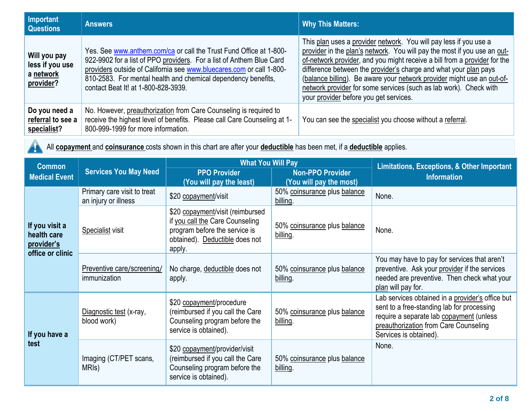| Important<br><b>Questions</b>                             | <b>Answers</b>                                                                                                                                                                                                                                                                                                             | <b>Why This Matters:</b>                                                                                                                                                                                                                                                                                                                                                                                                                                                                |
|-----------------------------------------------------------|----------------------------------------------------------------------------------------------------------------------------------------------------------------------------------------------------------------------------------------------------------------------------------------------------------------------------|-----------------------------------------------------------------------------------------------------------------------------------------------------------------------------------------------------------------------------------------------------------------------------------------------------------------------------------------------------------------------------------------------------------------------------------------------------------------------------------------|
| Will you pay<br>less if you use<br>a network<br>provider? | Yes. See www.anthem.com/ca or call the Trust Fund Office at 1-800-<br>922-9902 for a list of PPO providers. For a list of Anthem Blue Card<br>providers outside of California see www.bluecares.com or call 1-800-<br>810-2583. For mental health and chemical dependency benefits,<br>contact Beat It! at 1-800-828-3939. | This plan uses a provider network. You will pay less if you use a<br>provider in the plan's network. You will pay the most if you use an out-<br>of-network provider, and you might receive a bill from a provider for the<br>difference between the provider's charge and what your plan pays<br>(balance billing). Be aware your network provider might use an out-of-<br>network provider for some services (such as lab work). Check with<br>your provider before you get services. |
| Do you need a<br>referral to see a<br>specialist?         | No. However, preauthorization from Care Counseling is required to<br>receive the highest level of benefits. Please call Care Counseling at 1-<br>800-999-1999 for more information.                                                                                                                                        | You can see the specialist you choose without a referral.                                                                                                                                                                                                                                                                                                                                                                                                                               |

 $\triangle$ 

All **copayment** and **coinsurance** costs shown in this chart are after your **deductible** has been met, if a **deductible** applies.

| <b>What You Will Pay</b><br><b>Common</b>                       |                                                     | <b>Limitations, Exceptions, &amp; Other Important</b>                                                                                            |                                                    |                                                                                                                                                                                                               |
|-----------------------------------------------------------------|-----------------------------------------------------|--------------------------------------------------------------------------------------------------------------------------------------------------|----------------------------------------------------|---------------------------------------------------------------------------------------------------------------------------------------------------------------------------------------------------------------|
| <b>Medical Event</b>                                            | <b>Services You May Need</b>                        | <b>PPO Provider</b><br>(You will pay the least)                                                                                                  | <b>Non-PPO Provider</b><br>(You will pay the most) | <b>Information</b>                                                                                                                                                                                            |
|                                                                 | Primary care visit to treat<br>an injury or illness | \$20 copayment/visit                                                                                                                             | 50% coinsurance plus balance<br>billing.           | None.                                                                                                                                                                                                         |
| If you visit a<br>health care<br>provider's<br>office or clinic | Specialist visit                                    | \$20 copayment/visit (reimbursed<br>if you call the Care Counseling<br>program before the service is<br>obtained). Deductible does not<br>apply. | 50% coinsurance plus balance<br>billing.           | None.                                                                                                                                                                                                         |
|                                                                 | Preventive care/screening/<br>immunization          | No charge, deductible does not<br>apply.                                                                                                         | 50% coinsurance plus balance<br>billing.           | You may have to pay for services that aren't<br>preventive. Ask your provider if the services<br>needed are preventive. Then check what your<br>plan will pay for.                                            |
| If you have a                                                   | Diagnostic test (x-ray,<br>blood work)              | \$20 copayment/procedure<br>(reimbursed if you call the Care<br>Counseling program before the<br>service is obtained).                           | 50% coinsurance plus balance<br>billing.           | Lab services obtained in a provider's office but<br>sent to a free-standing lab for processing<br>require a separate lab copayment (unless<br>preauthorization from Care Counseling<br>Services is obtained). |
| test                                                            | Imaging (CT/PET scans,<br>MRI <sub>s</sub> )        | \$20 copayment/provider/visit<br>(reimbursed if you call the Care<br>Counseling program before the<br>service is obtained).                      | 50% coinsurance plus balance<br>billing.           | None.                                                                                                                                                                                                         |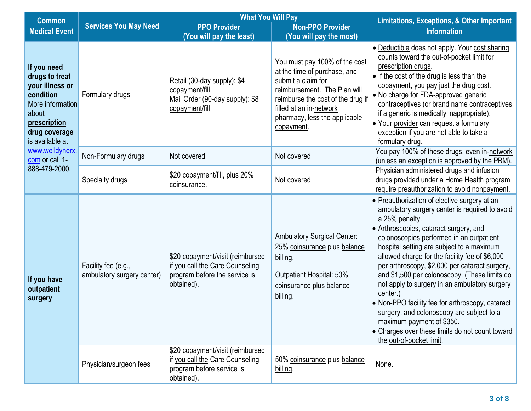| <b>Common</b>                                                                                                                                         |                                                   | <b>What You Will Pay</b>                                                                                           |                                                                                                                                                                                                                                    | <b>Limitations, Exceptions, &amp; Other Important</b>                                                                                                                                                                                                                                                                                                                                                                                                                                                                                                                                                                                                                              |  |
|-------------------------------------------------------------------------------------------------------------------------------------------------------|---------------------------------------------------|--------------------------------------------------------------------------------------------------------------------|------------------------------------------------------------------------------------------------------------------------------------------------------------------------------------------------------------------------------------|------------------------------------------------------------------------------------------------------------------------------------------------------------------------------------------------------------------------------------------------------------------------------------------------------------------------------------------------------------------------------------------------------------------------------------------------------------------------------------------------------------------------------------------------------------------------------------------------------------------------------------------------------------------------------------|--|
| <b>Medical Event</b>                                                                                                                                  | <b>Services You May Need</b>                      | <b>PPO Provider</b>                                                                                                | <b>Non-PPO Provider</b>                                                                                                                                                                                                            | <b>Information</b>                                                                                                                                                                                                                                                                                                                                                                                                                                                                                                                                                                                                                                                                 |  |
|                                                                                                                                                       |                                                   | (You will pay the least)                                                                                           | (You will pay the most)                                                                                                                                                                                                            |                                                                                                                                                                                                                                                                                                                                                                                                                                                                                                                                                                                                                                                                                    |  |
| If you need<br>drugs to treat<br>your illness or<br>condition<br>More information<br>about<br>prescription<br><u>drug coverage</u><br>is available at | Formulary drugs                                   | Retail (30-day supply): \$4<br>copayment/fill<br>Mail Order (90-day supply): \$8<br>copayment/fill                 | You must pay 100% of the cost<br>at the time of purchase, and<br>submit a claim for<br>reimbursement. The Plan will<br>reimburse the cost of the drug if<br>filled at an in-network<br>pharmacy, less the applicable<br>copayment. | • Deductible does not apply. Your cost sharing<br>counts toward the out-of-pocket limit for<br>prescription drugs.<br>$\bullet$ If the cost of the drug is less than the<br>copayment, you pay just the drug cost.<br>• No charge for FDA-approved generic<br>contraceptives (or brand name contraceptives<br>if a generic is medically inappropriate).<br>• Your provider can request a formulary<br>exception if you are not able to take a<br>formulary drug.                                                                                                                                                                                                                   |  |
| www.welldynerx.<br>com or call 1-                                                                                                                     | Non-Formulary drugs                               | Not covered                                                                                                        | Not covered                                                                                                                                                                                                                        | You pay 100% of these drugs, even in-network<br>(unless an exception is approved by the PBM).                                                                                                                                                                                                                                                                                                                                                                                                                                                                                                                                                                                      |  |
| 888-479-2000.                                                                                                                                         | <b>Specialty drugs</b>                            | \$20 copayment/fill, plus 20%<br>coinsurance.                                                                      | Not covered                                                                                                                                                                                                                        | Physician administered drugs and infusion<br>drugs provided under a Home Health program<br>require preauthorization to avoid nonpayment.                                                                                                                                                                                                                                                                                                                                                                                                                                                                                                                                           |  |
| If you have<br>outpatient<br>surgery                                                                                                                  | Facility fee (e.g.,<br>ambulatory surgery center) | \$20 copayment/visit (reimbursed<br>if you call the Care Counseling<br>program before the service is<br>obtained). | <b>Ambulatory Surgical Center:</b><br>25% coinsurance plus balance<br>billing.<br>Outpatient Hospital: 50%<br>coinsurance plus balance<br>billing.                                                                                 | • Preauthorization of elective surgery at an<br>ambulatory surgery center is required to avoid<br>a 25% penalty.<br>• Arthroscopies, cataract surgery, and<br>colonoscopies performed in an outpatient<br>hospital setting are subject to a maximum<br>allowed charge for the facility fee of \$6,000<br>per arthroscopy, \$2,000 per cataract surgery,<br>and \$1,500 per colonoscopy. (These limits do<br>not apply to surgery in an ambulatory surgery<br>center.)<br>• Non-PPO facility fee for arthroscopy, cataract<br>surgery, and colonoscopy are subject to a<br>maximum payment of \$350.<br>• Charges over these limits do not count toward<br>the out-of-pocket limit. |  |
|                                                                                                                                                       | Physician/surgeon fees                            | \$20 copayment/visit (reimbursed<br>if you call the Care Counseling<br>program before service is<br>obtained).     | 50% coinsurance plus balance<br>billing.                                                                                                                                                                                           | None.                                                                                                                                                                                                                                                                                                                                                                                                                                                                                                                                                                                                                                                                              |  |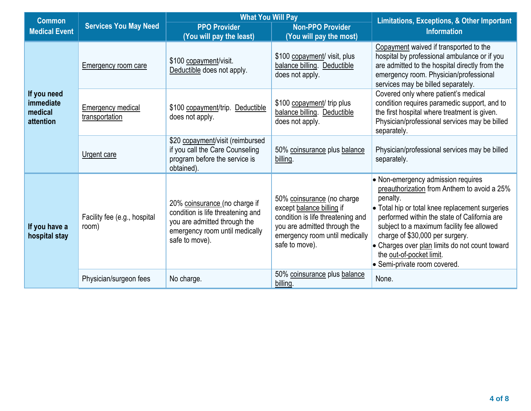| <b>Common</b>                                    |                                                                                                                                   | <b>What You Will Pay</b>                                                                                                                               |                                                                                                                                                                                  | <b>Limitations, Exceptions, &amp; Other Important</b><br><b>Information</b>                                                                                                                                                                                                                                                                                                                    |  |
|--------------------------------------------------|-----------------------------------------------------------------------------------------------------------------------------------|--------------------------------------------------------------------------------------------------------------------------------------------------------|----------------------------------------------------------------------------------------------------------------------------------------------------------------------------------|------------------------------------------------------------------------------------------------------------------------------------------------------------------------------------------------------------------------------------------------------------------------------------------------------------------------------------------------------------------------------------------------|--|
| <b>Medical Event</b>                             | <b>Services You May Need</b>                                                                                                      | <b>PPO Provider</b>                                                                                                                                    | <b>Non-PPO Provider</b>                                                                                                                                                          |                                                                                                                                                                                                                                                                                                                                                                                                |  |
|                                                  |                                                                                                                                   | (You will pay the least)                                                                                                                               | (You will pay the most)                                                                                                                                                          |                                                                                                                                                                                                                                                                                                                                                                                                |  |
|                                                  | Emergency room care                                                                                                               | \$100 copayment/visit.<br>Deductible does not apply.                                                                                                   | \$100 copayment/ visit, plus<br>balance billing. Deductible<br>does not apply.                                                                                                   | Copayment waived if transported to the<br>hospital by professional ambulance or if you<br>are admitted to the hospital directly from the<br>emergency room. Physician/professional<br>services may be billed separately.                                                                                                                                                                       |  |
| If you need<br>immediate<br>medical<br>attention | <b>Emergency medical</b><br>transportation                                                                                        | \$100 copayment/trip.<br>Deductible<br>does not apply.                                                                                                 | \$100 copayment/ trip plus<br>balance billing. Deductible<br>does not apply.                                                                                                     | Covered only where patient's medical<br>condition requires paramedic support, and to<br>the first hospital where treatment is given.<br>Physician/professional services may be billed<br>separately.                                                                                                                                                                                           |  |
|                                                  | \$20 copayment/visit (reimbursed<br>if you call the Care Counseling<br>Urgent care<br>program before the service is<br>obtained). | 50% coinsurance plus balance<br>billing.                                                                                                               | Physician/professional services may be billed<br>separately.                                                                                                                     |                                                                                                                                                                                                                                                                                                                                                                                                |  |
| If you have a<br>hospital stay                   | Facility fee (e.g., hospital<br>room)                                                                                             | 20% coinsurance (no charge if<br>condition is life threatening and<br>you are admitted through the<br>emergency room until medically<br>safe to move). | 50% coinsurance (no charge<br>except balance billing if<br>condition is life threatening and<br>you are admitted through the<br>emergency room until medically<br>safe to move). | • Non-emergency admission requires<br>preauthorization from Anthem to avoid a 25%<br>penalty.<br>• Total hip or total knee replacement surgeries<br>performed within the state of California are<br>subject to a maximum facility fee allowed<br>charge of \$30,000 per surgery.<br>• Charges over plan limits do not count toward<br>the out-of-pocket limit.<br>• Semi-private room covered. |  |
|                                                  | Physician/surgeon fees                                                                                                            | No charge.                                                                                                                                             | 50% coinsurance plus balance<br>billing.                                                                                                                                         | None.                                                                                                                                                                                                                                                                                                                                                                                          |  |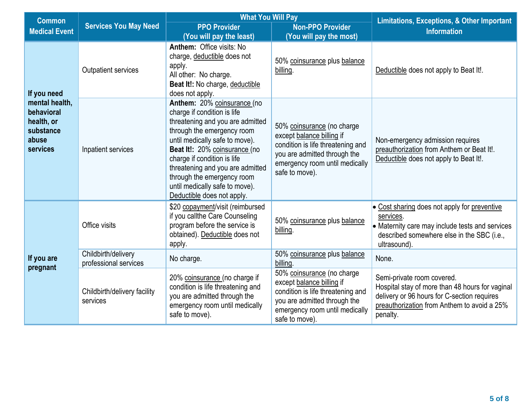| <b>Common</b>                                                                |                                              | <b>What You Will Pay</b>                                                                                                                                                                                                                                                                                                                                         |                                                                                                                                                                                  | <b>Limitations, Exceptions, &amp; Other Important</b>                                                                                                                                   |  |
|------------------------------------------------------------------------------|----------------------------------------------|------------------------------------------------------------------------------------------------------------------------------------------------------------------------------------------------------------------------------------------------------------------------------------------------------------------------------------------------------------------|----------------------------------------------------------------------------------------------------------------------------------------------------------------------------------|-----------------------------------------------------------------------------------------------------------------------------------------------------------------------------------------|--|
| <b>Medical Event</b>                                                         | <b>Services You May Need</b>                 | <b>PPO Provider</b>                                                                                                                                                                                                                                                                                                                                              | <b>Non-PPO Provider</b>                                                                                                                                                          | <b>Information</b>                                                                                                                                                                      |  |
|                                                                              |                                              | (You will pay the least)                                                                                                                                                                                                                                                                                                                                         | (You will pay the most)                                                                                                                                                          |                                                                                                                                                                                         |  |
| If you need                                                                  | <b>Outpatient services</b>                   | Anthem: Office visits: No<br>charge, deductible does not<br>apply.<br>All other: No charge.<br>Beat It!: No charge, deductible<br>does not apply.                                                                                                                                                                                                                | 50% coinsurance plus balance<br>billing.                                                                                                                                         | Deductible does not apply to Beat It!.                                                                                                                                                  |  |
| mental health,<br>behavioral<br>health, or<br>substance<br>abuse<br>services | Inpatient services                           | Anthem: 20% coinsurance (no<br>charge if condition is life<br>threatening and you are admitted<br>through the emergency room<br>until medically safe to move).<br>Beat It!: 20% coinsurance (no<br>charge if condition is life<br>threatening and you are admitted<br>through the emergency room<br>until medically safe to move).<br>Deductible does not apply. | 50% coinsurance (no charge<br>except balance billing if<br>condition is life threatening and<br>you are admitted through the<br>emergency room until medically<br>safe to move). | Non-emergency admission requires<br>preauthorization from Anthem or Beat It!.<br>Deductible does not apply to Beat It!.                                                                 |  |
|                                                                              | Office visits                                | \$20 copayment/visit (reimbursed<br>if you callthe Care Counseling<br>program before the service is<br>obtained). Deductible does not<br>apply.                                                                                                                                                                                                                  | 50% coinsurance plus balance<br>billing.                                                                                                                                         | • Cost sharing does not apply for preventive<br>services.<br>• Maternity care may include tests and services<br>described somewhere else in the SBC (i.e.,<br>ultrasound).              |  |
| If you are<br>pregnant                                                       | Childbirth/delivery<br>professional services | No charge.                                                                                                                                                                                                                                                                                                                                                       | 50% coinsurance plus balance<br>billing                                                                                                                                          | None.                                                                                                                                                                                   |  |
|                                                                              | Childbirth/delivery facility<br>services     | 20% coinsurance (no charge if<br>condition is life threatening and<br>you are admitted through the<br>emergency room until medically<br>safe to move).                                                                                                                                                                                                           | 50% coinsurance (no charge<br>except balance billing if<br>condition is life threatening and<br>you are admitted through the<br>emergency room until medically<br>safe to move). | Semi-private room covered.<br>Hospital stay of more than 48 hours for vaginal<br>delivery or 96 hours for C-section requires<br>preauthorization from Anthem to avoid a 25%<br>penalty. |  |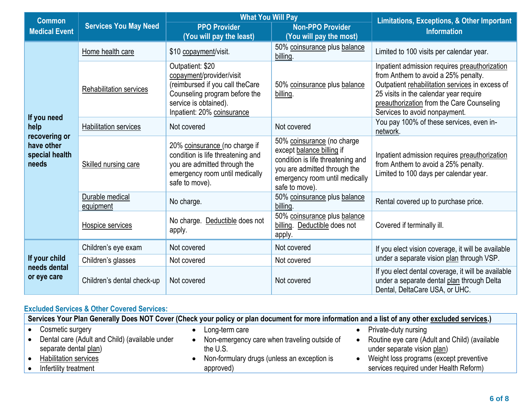| <b>Common</b>                                          |                              | <b>What You Will Pay</b>                                                                                                                                                |                                                                                                                                                                                  | <b>Limitations, Exceptions, &amp; Other Important</b>                                                                                                                                                                                                           |  |
|--------------------------------------------------------|------------------------------|-------------------------------------------------------------------------------------------------------------------------------------------------------------------------|----------------------------------------------------------------------------------------------------------------------------------------------------------------------------------|-----------------------------------------------------------------------------------------------------------------------------------------------------------------------------------------------------------------------------------------------------------------|--|
| <b>Services You May Need</b><br><b>Medical Event</b>   |                              | <b>PPO Provider</b><br>(You will pay the least)                                                                                                                         | <b>Non-PPO Provider</b><br>(You will pay the most)                                                                                                                               | <b>Information</b>                                                                                                                                                                                                                                              |  |
|                                                        | Home health care             | \$10 copayment/visit.                                                                                                                                                   | 50% coinsurance plus balance<br>billing.                                                                                                                                         | Limited to 100 visits per calendar year.                                                                                                                                                                                                                        |  |
|                                                        | Rehabilitation services      | Outpatient: \$20<br>copayment/provider/visit<br>(reimbursed if you call theCare<br>Counseling program before the<br>service is obtained).<br>Inpatient: 20% coinsurance | 50% coinsurance plus balance<br>billing.                                                                                                                                         | Inpatient admission requires preauthorization<br>from Anthem to avoid a 25% penalty.<br>Outpatient rehabilitation services in excess of<br>25 visits in the calendar year require<br>preauthorization from the Care Counseling<br>Services to avoid nonpayment. |  |
| If you need<br>help                                    | <b>Habilitation services</b> | Not covered                                                                                                                                                             | Not covered                                                                                                                                                                      | You pay 100% of these services, even in-<br>network.                                                                                                                                                                                                            |  |
| recovering or<br>have other<br>special health<br>needs | Skilled nursing care         | 20% coinsurance (no charge if<br>condition is life threatening and<br>you are admitted through the<br>emergency room until medically<br>safe to move).                  | 50% coinsurance (no charge<br>except balance billing if<br>condition is life threatening and<br>you are admitted through the<br>emergency room until medically<br>safe to move). | Inpatient admission requires preauthorization<br>from Anthem to avoid a 25% penalty.<br>Limited to 100 days per calendar year.                                                                                                                                  |  |
|                                                        | Durable medical<br>equipment | No charge.                                                                                                                                                              | 50% coinsurance plus balance<br>billing.                                                                                                                                         | Rental covered up to purchase price.                                                                                                                                                                                                                            |  |
|                                                        | Hospice services             | No charge. Deductible does not<br>apply.                                                                                                                                | 50% coinsurance plus balance<br>billing. Deductible does not<br>apply.                                                                                                           | Covered if terminally ill.                                                                                                                                                                                                                                      |  |
|                                                        | Children's eye exam          | Not covered                                                                                                                                                             | Not covered                                                                                                                                                                      | If you elect vision coverage, it will be available                                                                                                                                                                                                              |  |
| If your child                                          | Children's glasses           | Not covered                                                                                                                                                             | Not covered                                                                                                                                                                      | under a separate vision plan through VSP.                                                                                                                                                                                                                       |  |
| needs dental<br>or eye care                            | Children's dental check-up   | Not covered                                                                                                                                                             | Not covered                                                                                                                                                                      | If you elect dental coverage, it will be available<br>under a separate dental plan through Delta<br>Dental, DeltaCare USA, or UHC.                                                                                                                              |  |

# **Excluded Services & Other Covered Services:**

| Services Your Plan Generally Does NOT Cover (Check your policy or plan document for more information and a list of any other excluded services.) |  |                                                          |  |                                                                              |  |
|--------------------------------------------------------------------------------------------------------------------------------------------------|--|----------------------------------------------------------|--|------------------------------------------------------------------------------|--|
| Cosmetic surgery                                                                                                                                 |  | Long-term care                                           |  | Private-duty nursing                                                         |  |
| Dental care (Adult and Child) (available under<br>separate dental plan)                                                                          |  | Non-emergency care when traveling outside of<br>the U.S. |  | Routine eye care (Adult and Child) (available<br>under separate vision plan) |  |
| Habilitation services                                                                                                                            |  | Non-formulary drugs (unless an exception is              |  | Weight loss programs (except preventive                                      |  |
| Infertility treatment                                                                                                                            |  | approved)                                                |  | services required under Health Reform)                                       |  |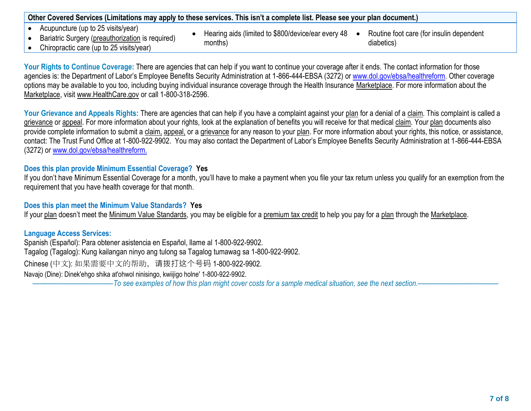| Other Covered Services (Limitations may apply to these services. This isn't a complete list. Please see your plan document.) |  |
|------------------------------------------------------------------------------------------------------------------------------|--|
|------------------------------------------------------------------------------------------------------------------------------|--|

- Acupuncture (up to 25 visits/year)
- Bariatric Surgery (preauthorization is required)
- Hearing aids (limited to \$800/device/ear every 48 months)
- Routine foot care (for insulin dependent diabetics)

• Chiropractic care (up to 25 visits/year)

Your Rights to Continue Coverage: There are agencies that can help if you want to continue your coverage after it ends. The contact information for those agencies is: the Department of Labor's Employee Benefits Security Administration at 1-866-444-EBSA (3272) or [www.dol.gov/ebsa/healthreform.](file:///C:/NRPortbl/EAST/JLH/www.dol.gov/ebsa/healthreform) Other coverage options may be available to you too, including buying individual insurance coverage through the Health Insurance Marketplace. For more information about the Marketplace, visit www.HealthCare.gov or call 1-800-318-2596.

Your Grievance and Appeals Rights: There are agencies that can help if you have a complaint against your plan for a denial of a claim. This complaint is called a grievance or appeal. For more information about your rights, look at the explanation of benefits you will receive for that medical claim. Your plan documents also provide complete information to submit a claim, appeal, or a grievance for any reason to your plan. For more information about your rights, this notice, or assistance, contact: The Trust Fund Office at 1-800-922-9902. You may also contact the Department of Labor's Employee Benefits Security Administration at 1-866-444-EBSA (3272) or [www.dol.gov/ebsa/healthreform.](file:///C:/NRPortbl/EAST/JLH/www.dol.gov/ebsa/healthreform)

# **Does this plan provide Minimum Essential Coverage? Yes**

If you don't have Minimum Essential Coverage for a month, you'll have to make a payment when you file your tax return unless you qualify for an exemption from the requirement that you have health coverage for that month.

### **Does this plan meet the Minimum Value Standards? Yes**

If your plan doesn't meet the Minimum Value Standards, you may be eligible for a premium tax credit to help you pay for a plan through the Marketplace.

#### **Language Access Services:**

Spanish (Español): Para obtener asistencia en Español, llame al 1-800-922-9902. Tagalog (Tagalog): Kung kailangan ninyo ang tulong sa Tagalog tumawag sa 1-800-922-9902. Chinese (中文): 如果需要中文的帮助,请拨打这个号码 1-800-922-9902. Navajo (Dine): Dinek'ehgo shika at'ohwol ninisingo, kwiijigo holne' 1-800-922-9902.

––––––––––––––––––––––*To see examples of how this plan might cover costs for a sample medical situation, see the next section.–––––––––––*–––––––––––